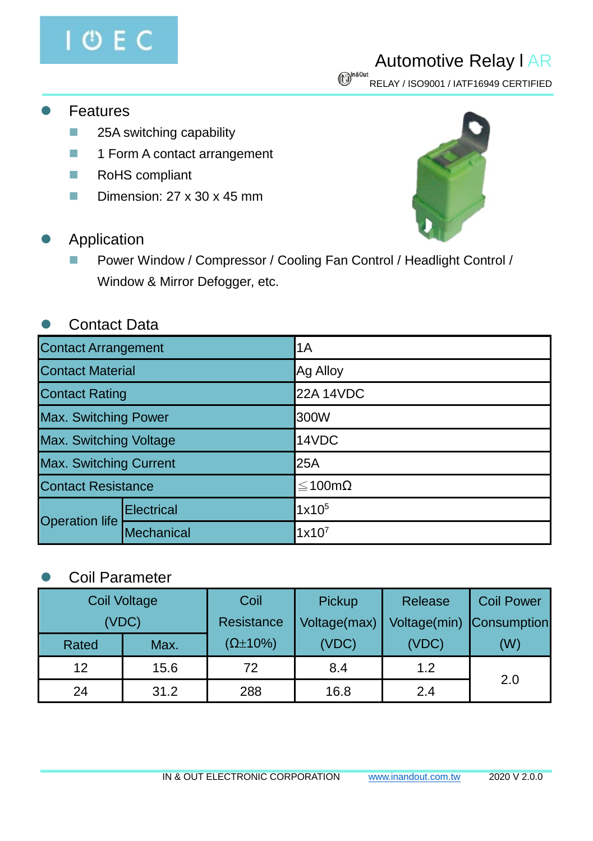

## Automotive Relay l AR

 $\bigcirc$ <sup>n&0ut</sup><br>RELAY / ISO9001 / IATF16949 CERTIFIED

- **Features** 
	- 25A switching capability
	- 1 Form A contact arrangement
	- RoHS compliant
	- Dimension: 27 x 30 x 45 mm
- **Application** 
	- Power Window / Compressor / Cooling Fan Control / Headlight Control / Window & Mirror Defogger, etc.

## ⚫ Contact Data

| <b>Contact Arrangement</b>    |            | 1A                |  |  |
|-------------------------------|------------|-------------------|--|--|
| <b>Contact Material</b>       |            | Ag Alloy          |  |  |
| <b>Contact Rating</b>         |            | <b>22A 14VDC</b>  |  |  |
| Max. Switching Power          |            | 300W              |  |  |
| Max. Switching Voltage        |            | 14VDC             |  |  |
| <b>Max. Switching Current</b> |            | 25A               |  |  |
| <b>Contact Resistance</b>     |            | ≤100mΩ            |  |  |
| <b>Operation life</b>         | Electrical | 1x10 <sup>5</sup> |  |  |
|                               | Mechanical | $1x10^7$          |  |  |

## ⚫ Coil Parameter

| <b>Coil Voltage</b> |      | Coil                | Pickup       | Release      | <b>Coil Power</b>  |  |
|---------------------|------|---------------------|--------------|--------------|--------------------|--|
| (VDC)               |      | Resistance          | Voltage(max) | Voltage(min) | <b>Consumption</b> |  |
| Rated               | Max. | $(\Omega \pm 10\%)$ | (VDC)        | (VDC)        | (W)                |  |
| 12                  | 15.6 | 72                  | 8.4          | 1.2          | 2.0                |  |
| 24                  | 31.2 | 288                 | 16.8         | 2.4          |                    |  |